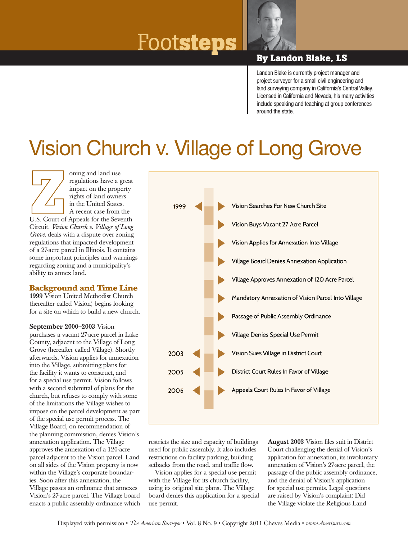# Foot**steps By Landon Blake, LS**



Landon Blake is currently project manager and project surveyor for a small civil engineering and land surveying company in California's Central Valley. Licensed in California and Nevada, his many activities include speaking and teaching at group conferences around the state.

## Vision Church v. Village of Long Grove

oning and land use regulations have a great impact on the property rights of land owners in the United States. A recent case from the U.S. Court of Appeals for the Seventh Circuit, *Vision Church v. Village of Long Grove*, deals with a dispute over zoning regulations that impacted development of a 27-acre parcel in Illinois. It contains some important principles and warnings regarding zoning and a municipality's ability to annex land.

### **Background and Time Line**

1999 Vision United Methodist Church (hereafter called Vision) begins looking for a site on which to build a new church.

September 2000–2003 Vision purchases a vacant 27-acre parcel in Lake County, adjacent to the Village of Long Grove (hereafter called Village). Shortly afterwards, Vision applies for annexation into the Village, submitting plans for the facility it wants to construct, and for a special use permit. Vision follows with a second submittal of plans for the church, but refuses to comply with some of the limitations the Village wishes to impose on the parcel development as part of the special use permit process. The Village Board, on recommendation of the planning commission, denies Vision's annexation application. The Village approves the annexation of a 120-acre parcel adjacent to the Vision parcel. Land on all sides of the Vision property is now within the Village's corporate boundaries. Soon after this annexation, the Village passes an ordinance that annexes Vision's 27-acre parcel. The Village board enacts a public assembly ordinance which



restricts the size and capacity of buildings used for public assembly. It also includes restrictions on facility parking, building setbacks from the road, and traffic flow.

Vision applies for a special use permit with the Village for its church facility, using its original site plans. The Village board denies this application for a special use permit.

August 2003 Vision files suit in District Court challenging the denial of Vision's application for annexation, its involuntary annexation of Vision's 27-acre parcel, the passage of the public assembly ordinance, and the denial of Vision's application for special use permits. Legal questions are raised by Vision's complaint: Did the Village violate the Religious Land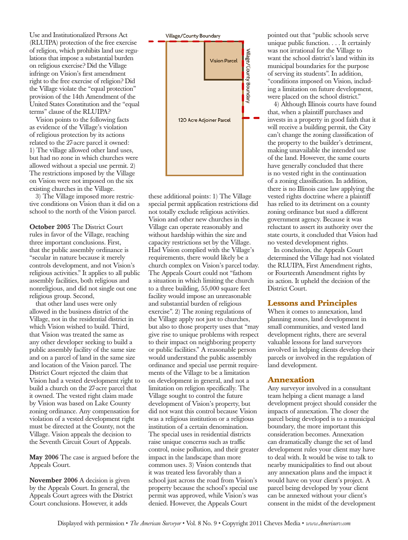Use and Institutionalized Persons Act (RLUIPA) protection of the free exercise of religion, which prohibits land use regulations that impose a substantial burden on religious exercise? Did the Village infringe on Vision's first amendment right to the free exercise of religion? Did the Village violate the "equal protection" provision of the 14th Amendment of the United States Constitution and the "equal terms" clause of the RLUIPA?

Vision points to the following facts as evidence of the Village's violation of religious protection by its actions related to the 27-acre parcel it owned: 1) The village allowed other land uses, but had no zone in which churches were allowed without a special use permit. 2) The restrictions imposed by the Village on Vision were not imposed on the six existing churches in the Village.

3) The Village imposed more restrictive conditions on Vision than it did on a school to the north of the Vision parcel.

October 2005 The District Court rules in favor of the Village, reaching three important conclusions. First, that the public assembly ordinance is "secular in nature because it merely controls development, and not Vision's religious activities." It applies to all public assembly facilities, both religious and nonreligious, and did not single out one religious group. Second,

that other land uses were only allowed in the business district of the Village, not in the residential district in which Vision wished to build. Third, that Vision was treated the same as any other developer seeking to build a public assembly facility of the same size and on a parcel of land in the same size and location of the Vision parcel. The District Court rejected the claim that Vision had a vested development right to build a church on the 27-acre parcel that it owned. The vested right claim made by Vision was based on Lake County zoning ordinance. Any compensation for violation of a vested development right must be directed at the County, not the Village. Vision appeals the decision to the Seventh Circuit Court of Appeals.

May 2006 The case is argued before the Appeals Court.

November 2006 A decision is given by the Appeals Court. In general, the Appeals Court agrees with the District Court conclusions. However, it adds



these additional points: 1) The Village special permit application restrictions did not totally exclude religious activities. Vision and other new churches in the Village can operate reasonably and without hardship within the size and capacity restrictions set by the Village. Had Vision complied with the Village's requirements, there would likely be a church complex on Vision's parcel today. The Appeals Court could not "fathom a situation in which limiting the church to a three building, 55,000 square feet facility would impose an unreasonable and substantial burden of religious exercise". 2) The zoning regulations of the Village apply not just to churches, but also to those property uses that "may give rise to unique problems with respect to their impact on neighboring property or public facilities." A reasonable person would understand the public assembly ordinance and special use permit requirements of the Village to be a limitation on development in general, and not a limitation on religion specifically. The Village sought to control the future development of Vision's property, but did not want this control because Vision was a religious institution or a religious institution of a certain denomination. The special uses in residential districts raise unique concerns such as traffic control, noise pollution, and their greater impact in the landscape than more common uses. 3) Vision contends that it was treated less favorably than a school just across the road from Vision's property because the school's special use permit was approved, while Vision's was denied. However, the Appeals Court

pointed out that "public schools serve unique public function. . . . It certainly was not irrational for the Village to want the school district's land within its municipal boundaries for the purpose of serving its students". In addition, "conditions imposed on Vision, including a limitation on future development, were placed on the school district."

4) Although Illinois courts have found that, when a plaintiff purchases and invests in a property in good faith that it will receive a building permit, the City can't change the zoning classification of the property to the builder's detriment, making unavailable the intended use of the land. However, the same courts have generally concluded that there is no vested right in the continuation of a zoning classification. In addition, there is no Illinois case law applying the vested rights doctrine where a plaintiff has relied to its detriment on a county zoning ordinance but sued a different government agency. Because it was reluctant to assert its authority over the state courts, it concluded that Vision had no vested development rights.

In conclusion, the Appeals Court determined the Village had not violated the RLUIPA, First Amendment rights, or Fourteenth Amendment rights by its action. It upheld the decision of the District Court.

#### **Lessons and Principles**

When it comes to annexation, land planning zones, land development in small communities, and vested land development rights, there are several valuable lessons for land surveyors involved in helping clients develop their parcels or involved in the regulation of land development.

#### **Annexation**

Any surveyor involved in a consultant team helping a client manage a land development project should consider the impacts of annexation. The closer the parcel being developed is to a municipal boundary, the more important this consideration becomes. Annexation can dramatically change the set of land development rules your client may have to deal with. It would be wise to talk to nearby municipalities to find out about any annexation plans and the impact it would have on your client's project. A parcel being developed by your client can be annexed without your client's consent in the midst of the development